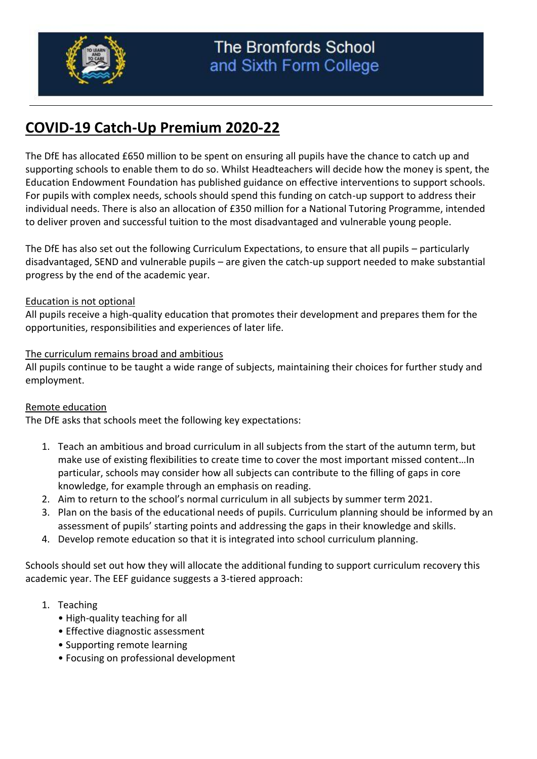

# **COVID-19 Catch-Up Premium 2020-22**

The DfE has allocated £650 million to be spent on ensuring all pupils have the chance to catch up and supporting schools to enable them to do so. Whilst Headteachers will decide how the money is spent, the Education Endowment Foundation has published guidance on effective interventions to support schools. For pupils with complex needs, schools should spend this funding on catch-up support to address their individual needs. There is also an allocation of £350 million for a National Tutoring Programme, intended to deliver proven and successful tuition to the most disadvantaged and vulnerable young people.

The DfE has also set out the following Curriculum Expectations, to ensure that all pupils – particularly disadvantaged, SEND and vulnerable pupils – are given the catch-up support needed to make substantial progress by the end of the academic year.

# Education is not optional

All pupils receive a high-quality education that promotes their development and prepares them for the opportunities, responsibilities and experiences of later life.

# The curriculum remains broad and ambitious

All pupils continue to be taught a wide range of subjects, maintaining their choices for further study and employment.

# Remote education

The DfE asks that schools meet the following key expectations:

- 1. Teach an ambitious and broad curriculum in all subjects from the start of the autumn term, but make use of existing flexibilities to create time to cover the most important missed content…In particular, schools may consider how all subjects can contribute to the filling of gaps in core knowledge, for example through an emphasis on reading.
- 2. Aim to return to the school's normal curriculum in all subjects by summer term 2021.
- 3. Plan on the basis of the educational needs of pupils. Curriculum planning should be informed by an assessment of pupils' starting points and addressing the gaps in their knowledge and skills.
- 4. Develop remote education so that it is integrated into school curriculum planning.

Schools should set out how they will allocate the additional funding to support curriculum recovery this academic year. The EEF guidance suggests a 3-tiered approach:

# 1. Teaching

- High-quality teaching for all
- Effective diagnostic assessment
- Supporting remote learning
- Focusing on professional development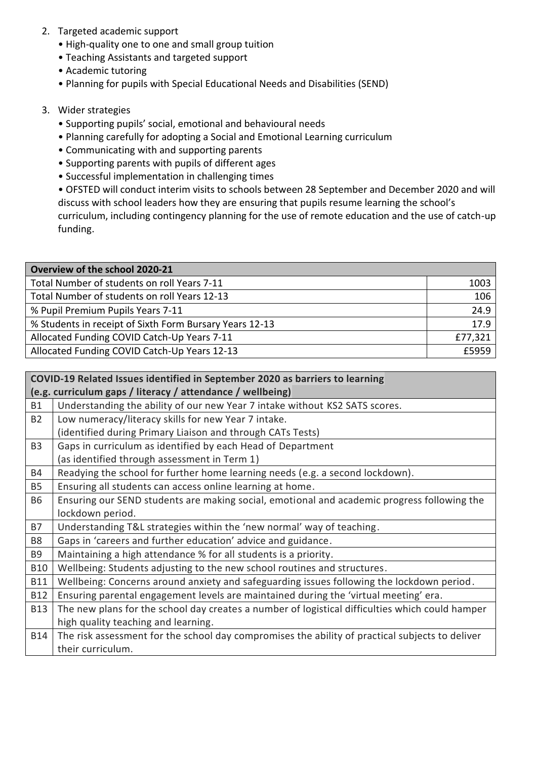- 2. Targeted academic support
	- High-quality one to one and small group tuition
	- Teaching Assistants and targeted support
	- Academic tutoring
	- Planning for pupils with Special Educational Needs and Disabilities (SEND)

# 3. Wider strategies

- Supporting pupils' social, emotional and behavioural needs
- Planning carefully for adopting a Social and Emotional Learning curriculum
- Communicating with and supporting parents
- Supporting parents with pupils of different ages
- Successful implementation in challenging times

• OFSTED will conduct interim visits to schools between 28 September and December 2020 and will discuss with school leaders how they are ensuring that pupils resume learning the school's curriculum, including contingency planning for the use of remote education and the use of catch-up funding.

| Overview of the school 2020-21                          |         |
|---------------------------------------------------------|---------|
| Total Number of students on roll Years 7-11             | 1003    |
| Total Number of students on roll Years 12-13            | 106     |
| % Pupil Premium Pupils Years 7-11                       | 24.9    |
| % Students in receipt of Sixth Form Bursary Years 12-13 | 17.9    |
| Allocated Funding COVID Catch-Up Years 7-11             | £77,321 |
| Allocated Funding COVID Catch-Up Years 12-13            | £5959   |

|                | COVID-19 Related Issues identified in September 2020 as barriers to learning                    |  |  |  |
|----------------|-------------------------------------------------------------------------------------------------|--|--|--|
|                | (e.g. curriculum gaps / literacy / attendance / wellbeing)                                      |  |  |  |
| <b>B1</b>      | Understanding the ability of our new Year 7 intake without KS2 SATS scores.                     |  |  |  |
| <b>B2</b>      | Low numeracy/literacy skills for new Year 7 intake.                                             |  |  |  |
|                | (identified during Primary Liaison and through CATs Tests)                                      |  |  |  |
| B <sub>3</sub> | Gaps in curriculum as identified by each Head of Department                                     |  |  |  |
|                | (as identified through assessment in Term 1)                                                    |  |  |  |
| <b>B4</b>      | Readying the school for further home learning needs (e.g. a second lockdown).                   |  |  |  |
| <b>B5</b>      | Ensuring all students can access online learning at home.                                       |  |  |  |
| <b>B6</b>      | Ensuring our SEND students are making social, emotional and academic progress following the     |  |  |  |
|                | lockdown period.                                                                                |  |  |  |
| <b>B7</b>      | Understanding T&L strategies within the 'new normal' way of teaching.                           |  |  |  |
| B <sub>8</sub> | Gaps in 'careers and further education' advice and guidance.                                    |  |  |  |
| B <sub>9</sub> | Maintaining a high attendance % for all students is a priority.                                 |  |  |  |
| <b>B10</b>     | Wellbeing: Students adjusting to the new school routines and structures.                        |  |  |  |
| <b>B11</b>     | Wellbeing: Concerns around anxiety and safeguarding issues following the lockdown period.       |  |  |  |
| <b>B12</b>     | Ensuring parental engagement levels are maintained during the 'virtual meeting' era.            |  |  |  |
| <b>B13</b>     | The new plans for the school day creates a number of logistical difficulties which could hamper |  |  |  |
|                | high quality teaching and learning.                                                             |  |  |  |
| B14            | The risk assessment for the school day compromises the ability of practical subjects to deliver |  |  |  |
|                | their curriculum.                                                                               |  |  |  |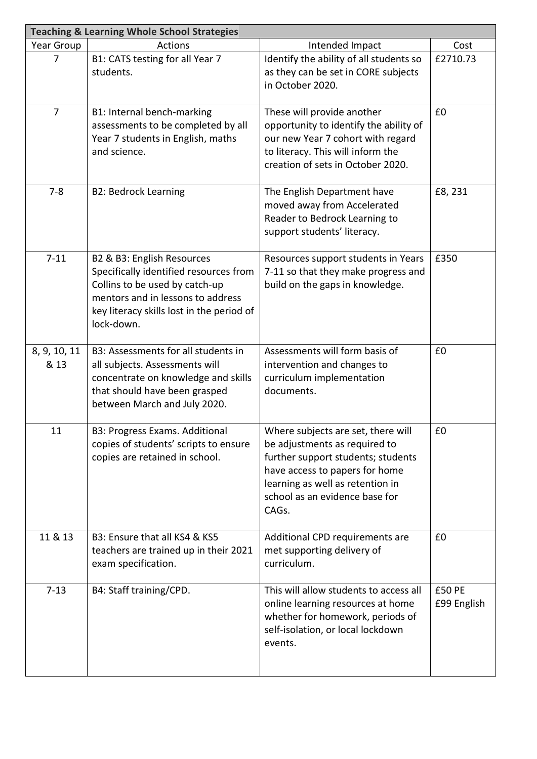| <b>Teaching &amp; Learning Whole School Strategies</b> |                                                                                                                                                                                                        |                                                                                                                                                                                                                            |                       |  |
|--------------------------------------------------------|--------------------------------------------------------------------------------------------------------------------------------------------------------------------------------------------------------|----------------------------------------------------------------------------------------------------------------------------------------------------------------------------------------------------------------------------|-----------------------|--|
| Year Group                                             | <b>Actions</b>                                                                                                                                                                                         | Intended Impact                                                                                                                                                                                                            | Cost                  |  |
| 7                                                      | B1: CATS testing for all Year 7<br>students.                                                                                                                                                           | Identify the ability of all students so<br>as they can be set in CORE subjects<br>in October 2020.                                                                                                                         | £2710.73              |  |
| $\overline{7}$                                         | B1: Internal bench-marking<br>assessments to be completed by all<br>Year 7 students in English, maths<br>and science.                                                                                  | These will provide another<br>opportunity to identify the ability of<br>our new Year 7 cohort with regard<br>to literacy. This will inform the<br>creation of sets in October 2020.                                        | £0                    |  |
| $7 - 8$                                                | <b>B2: Bedrock Learning</b>                                                                                                                                                                            | The English Department have<br>moved away from Accelerated<br>Reader to Bedrock Learning to<br>support students' literacy.                                                                                                 | £8, 231               |  |
| $7 - 11$                                               | B2 & B3: English Resources<br>Specifically identified resources from<br>Collins to be used by catch-up<br>mentors and in lessons to address<br>key literacy skills lost in the period of<br>lock-down. | Resources support students in Years<br>7-11 so that they make progress and<br>build on the gaps in knowledge.                                                                                                              | £350                  |  |
| 8, 9, 10, 11<br>& 13                                   | B3: Assessments for all students in<br>all subjects. Assessments will<br>concentrate on knowledge and skills<br>that should have been grasped<br>between March and July 2020.                          | Assessments will form basis of<br>intervention and changes to<br>curriculum implementation<br>documents.                                                                                                                   | £0                    |  |
| 11                                                     | B3: Progress Exams. Additional<br>copies of students' scripts to ensure<br>copies are retained in school.                                                                                              | Where subjects are set, there will<br>be adjustments as required to<br>further support students; students<br>have access to papers for home<br>learning as well as retention in<br>school as an evidence base for<br>CAGs. | £0                    |  |
| 11 & 13                                                | B3: Ensure that all KS4 & KS5<br>teachers are trained up in their 2021<br>exam specification.                                                                                                          | Additional CPD requirements are<br>met supporting delivery of<br>curriculum.                                                                                                                                               | £0                    |  |
| $7 - 13$                                               | B4: Staff training/CPD.                                                                                                                                                                                | This will allow students to access all<br>online learning resources at home<br>whether for homework, periods of<br>self-isolation, or local lockdown<br>events.                                                            | £50 PE<br>£99 English |  |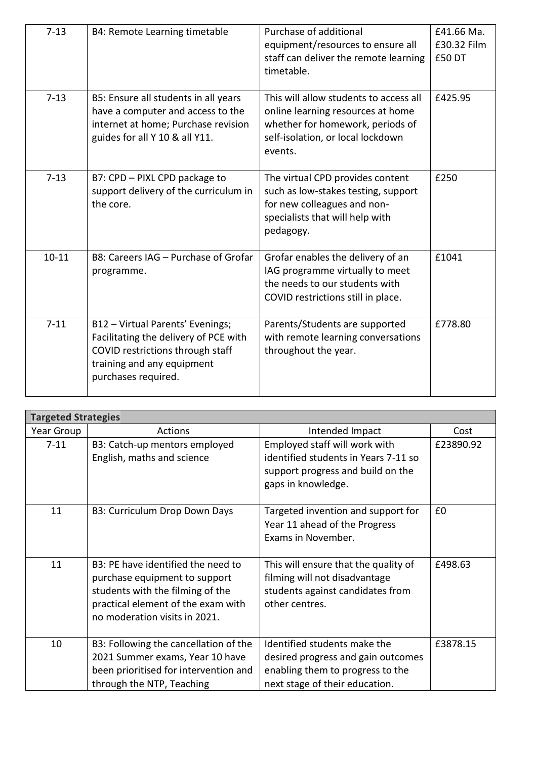| $7 - 13$  | B4: Remote Learning timetable                                                                                                                                      | Purchase of additional<br>equipment/resources to ensure all<br>staff can deliver the remote learning<br>timetable.                                              | £41.66 Ma.<br>£30.32 Film<br>£50 DT |
|-----------|--------------------------------------------------------------------------------------------------------------------------------------------------------------------|-----------------------------------------------------------------------------------------------------------------------------------------------------------------|-------------------------------------|
| $7 - 13$  | B5: Ensure all students in all years<br>have a computer and access to the<br>internet at home; Purchase revision<br>guides for all Y 10 & all Y11.                 | This will allow students to access all<br>online learning resources at home<br>whether for homework, periods of<br>self-isolation, or local lockdown<br>events. | £425.95                             |
| $7 - 13$  | B7: CPD - PIXL CPD package to<br>support delivery of the curriculum in<br>the core.                                                                                | The virtual CPD provides content<br>such as low-stakes testing, support<br>for new colleagues and non-<br>specialists that will help with<br>pedagogy.          | £250                                |
| $10 - 11$ | B8: Careers IAG - Purchase of Grofar<br>programme.                                                                                                                 | Grofar enables the delivery of an<br>IAG programme virtually to meet<br>the needs to our students with<br>COVID restrictions still in place.                    | £1041                               |
| $7 - 11$  | B12 - Virtual Parents' Evenings;<br>Facilitating the delivery of PCE with<br>COVID restrictions through staff<br>training and any equipment<br>purchases required. | Parents/Students are supported<br>with remote learning conversations<br>throughout the year.                                                                    | £778.80                             |

| <b>Targeted Strategies</b> |                                                                                                                                                                                |                                                                                                                                          |           |  |
|----------------------------|--------------------------------------------------------------------------------------------------------------------------------------------------------------------------------|------------------------------------------------------------------------------------------------------------------------------------------|-----------|--|
| Year Group                 | Actions                                                                                                                                                                        | Intended Impact                                                                                                                          | Cost      |  |
| $7 - 11$                   | B3: Catch-up mentors employed<br>English, maths and science                                                                                                                    | Employed staff will work with<br>identified students in Years 7-11 so<br>support progress and build on the<br>gaps in knowledge.         | £23890.92 |  |
| 11                         | B3: Curriculum Drop Down Days                                                                                                                                                  | Targeted invention and support for<br>Year 11 ahead of the Progress<br>Exams in November.                                                | £0        |  |
| 11                         | B3: PE have identified the need to<br>purchase equipment to support<br>students with the filming of the<br>practical element of the exam with<br>no moderation visits in 2021. | This will ensure that the quality of<br>filming will not disadvantage<br>students against candidates from<br>other centres.              | £498.63   |  |
| 10                         | B3: Following the cancellation of the<br>2021 Summer exams, Year 10 have<br>been prioritised for intervention and<br>through the NTP, Teaching                                 | Identified students make the<br>desired progress and gain outcomes<br>enabling them to progress to the<br>next stage of their education. | £3878.15  |  |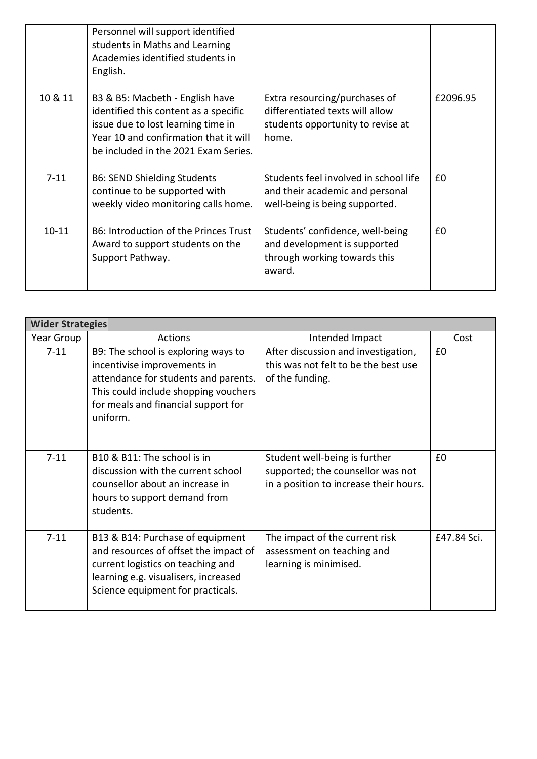|           | Personnel will support identified<br>students in Maths and Learning<br>Academies identified students in<br>English.                                                                             |                                                                                                                |          |
|-----------|-------------------------------------------------------------------------------------------------------------------------------------------------------------------------------------------------|----------------------------------------------------------------------------------------------------------------|----------|
| 10 & 11   | B3 & B5: Macbeth - English have<br>identified this content as a specific<br>issue due to lost learning time in<br>Year 10 and confirmation that it will<br>be included in the 2021 Exam Series. | Extra resourcing/purchases of<br>differentiated texts will allow<br>students opportunity to revise at<br>home. | £2096.95 |
| $7 - 11$  | <b>B6: SEND Shielding Students</b><br>continue to be supported with<br>weekly video monitoring calls home.                                                                                      | Students feel involved in school life<br>and their academic and personal<br>well-being is being supported.     | £0       |
| $10 - 11$ | B6: Introduction of the Princes Trust<br>Award to support students on the<br>Support Pathway.                                                                                                   | Students' confidence, well-being<br>and development is supported<br>through working towards this<br>award.     | £0       |

| <b>Wider Strategies</b> |                                                                                                                                                                                                       |                                                                                                              |             |
|-------------------------|-------------------------------------------------------------------------------------------------------------------------------------------------------------------------------------------------------|--------------------------------------------------------------------------------------------------------------|-------------|
| Year Group              | <b>Actions</b>                                                                                                                                                                                        | Intended Impact                                                                                              | Cost        |
| $7 - 11$                | B9: The school is exploring ways to<br>incentivise improvements in<br>attendance for students and parents.<br>This could include shopping vouchers<br>for meals and financial support for<br>uniform. | After discussion and investigation,<br>this was not felt to be the best use<br>of the funding.               | £0          |
| $7 - 11$                | B10 & B11: The school is in<br>discussion with the current school<br>counsellor about an increase in<br>hours to support demand from<br>students.                                                     | Student well-being is further<br>supported; the counsellor was not<br>in a position to increase their hours. | £0          |
| $7 - 11$                | B13 & B14: Purchase of equipment<br>and resources of offset the impact of<br>current logistics on teaching and<br>learning e.g. visualisers, increased<br>Science equipment for practicals.           | The impact of the current risk<br>assessment on teaching and<br>learning is minimised.                       | £47.84 Sci. |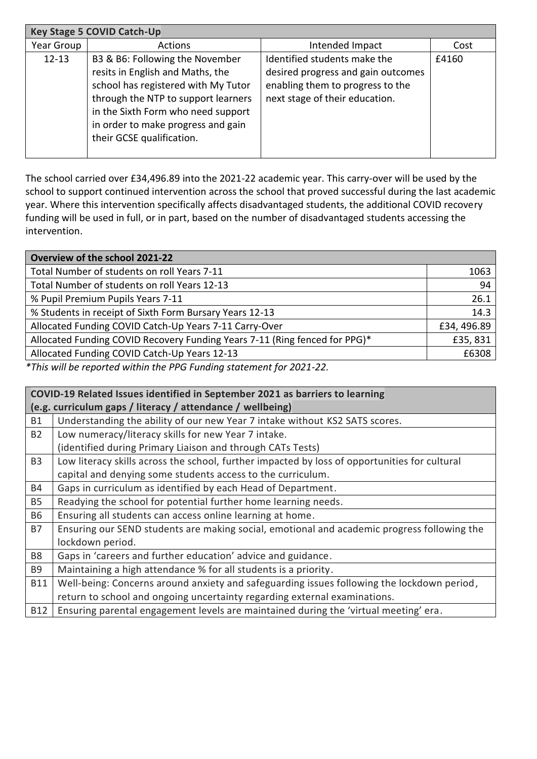| <b>Key Stage 5 COVID Catch-Up</b> |                                                                                                                                                                                                                                                            |                                                                                                                                          |       |  |
|-----------------------------------|------------------------------------------------------------------------------------------------------------------------------------------------------------------------------------------------------------------------------------------------------------|------------------------------------------------------------------------------------------------------------------------------------------|-------|--|
| Year Group                        | <b>Actions</b>                                                                                                                                                                                                                                             | Intended Impact                                                                                                                          | Cost  |  |
| $12 - 13$                         | B3 & B6: Following the November<br>resits in English and Maths, the<br>school has registered with My Tutor<br>through the NTP to support learners<br>in the Sixth Form who need support<br>in order to make progress and gain<br>their GCSE qualification. | Identified students make the<br>desired progress and gain outcomes<br>enabling them to progress to the<br>next stage of their education. | £4160 |  |

The school carried over £34,496.89 into the 2021-22 academic year. This carry-over will be used by the school to support continued intervention across the school that proved successful during the last academic year. Where this intervention specifically affects disadvantaged students, the additional COVID recovery funding will be used in full, or in part, based on the number of disadvantaged students accessing the intervention.

| Overview of the school 2021-22                                             |             |  |
|----------------------------------------------------------------------------|-------------|--|
| Total Number of students on roll Years 7-11                                | 1063        |  |
| Total Number of students on roll Years 12-13                               | 94          |  |
| % Pupil Premium Pupils Years 7-11                                          | 26.1        |  |
| % Students in receipt of Sixth Form Bursary Years 12-13                    | 14.3        |  |
| Allocated Funding COVID Catch-Up Years 7-11 Carry-Over                     | £34, 496.89 |  |
| Allocated Funding COVID Recovery Funding Years 7-11 (Ring fenced for PPG)* | £35,831     |  |
| Allocated Funding COVID Catch-Up Years 12-13                               | £6308       |  |
| $*$ This will be nonembed within the DDC Funding statement for 2024, 22    |             |  |

*\*This will be reported within the PPG Funding statement for 2021-22.*

|                | COVID-19 Related Issues identified in September 2021 as barriers to learning                  |  |  |  |
|----------------|-----------------------------------------------------------------------------------------------|--|--|--|
|                | (e.g. curriculum gaps / literacy / attendance / wellbeing)                                    |  |  |  |
| <b>B1</b>      | Understanding the ability of our new Year 7 intake without KS2 SATS scores.                   |  |  |  |
| <b>B2</b>      | Low numeracy/literacy skills for new Year 7 intake.                                           |  |  |  |
|                | (identified during Primary Liaison and through CATs Tests)                                    |  |  |  |
| B <sub>3</sub> | Low literacy skills across the school, further impacted by loss of opportunities for cultural |  |  |  |
|                | capital and denying some students access to the curriculum.                                   |  |  |  |
| <b>B4</b>      | Gaps in curriculum as identified by each Head of Department.                                  |  |  |  |
| <b>B5</b>      | Readying the school for potential further home learning needs.                                |  |  |  |
| <b>B6</b>      | Ensuring all students can access online learning at home.                                     |  |  |  |
| <b>B7</b>      | Ensuring our SEND students are making social, emotional and academic progress following the   |  |  |  |
|                | lockdown period.                                                                              |  |  |  |
| B <sub>8</sub> | Gaps in 'careers and further education' advice and guidance.                                  |  |  |  |
| B <sub>9</sub> | Maintaining a high attendance % for all students is a priority.                               |  |  |  |
| <b>B11</b>     | Well-being: Concerns around anxiety and safeguarding issues following the lockdown period,    |  |  |  |
|                | return to school and ongoing uncertainty regarding external examinations.                     |  |  |  |
| <b>B12</b>     | Ensuring parental engagement levels are maintained during the 'virtual meeting' era.          |  |  |  |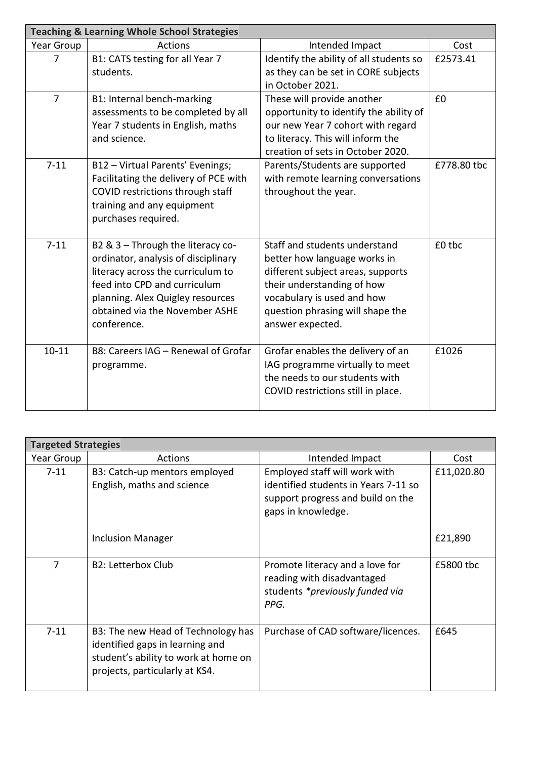| <b>Teaching &amp; Learning Whole School Strategies</b> |                                                                                                                                                                                                                                    |                                                                                                                                                                                                                        |             |  |
|--------------------------------------------------------|------------------------------------------------------------------------------------------------------------------------------------------------------------------------------------------------------------------------------------|------------------------------------------------------------------------------------------------------------------------------------------------------------------------------------------------------------------------|-------------|--|
| Year Group                                             | <b>Actions</b>                                                                                                                                                                                                                     | Intended Impact                                                                                                                                                                                                        | Cost        |  |
| $\overline{7}$                                         | B1: CATS testing for all Year 7<br>students.                                                                                                                                                                                       | Identify the ability of all students so<br>as they can be set in CORE subjects<br>in October 2021.                                                                                                                     | £2573.41    |  |
| $\overline{7}$                                         | B1: Internal bench-marking<br>assessments to be completed by all<br>Year 7 students in English, maths<br>and science.                                                                                                              | These will provide another<br>opportunity to identify the ability of<br>our new Year 7 cohort with regard<br>to literacy. This will inform the<br>creation of sets in October 2020.                                    | £0          |  |
| $7 - 11$                                               | B12 - Virtual Parents' Evenings;<br>Facilitating the delivery of PCE with<br>COVID restrictions through staff<br>training and any equipment<br>purchases required.                                                                 | Parents/Students are supported<br>with remote learning conversations<br>throughout the year.                                                                                                                           | £778.80 tbc |  |
| $7 - 11$                                               | B2 & 3 - Through the literacy co-<br>ordinator, analysis of disciplinary<br>literacy across the curriculum to<br>feed into CPD and curriculum<br>planning. Alex Quigley resources<br>obtained via the November ASHE<br>conference. | Staff and students understand<br>better how language works in<br>different subject areas, supports<br>their understanding of how<br>vocabulary is used and how<br>question phrasing will shape the<br>answer expected. | £0 tbc      |  |
| $10 - 11$                                              | B8: Careers IAG - Renewal of Grofar<br>programme.                                                                                                                                                                                  | Grofar enables the delivery of an<br>IAG programme virtually to meet<br>the needs to our students with<br>COVID restrictions still in place.                                                                           | £1026       |  |

|                | <b>Targeted Strategies</b>                                                                                                                      |                                                                                                                                  |            |  |  |
|----------------|-------------------------------------------------------------------------------------------------------------------------------------------------|----------------------------------------------------------------------------------------------------------------------------------|------------|--|--|
| Year Group     | Actions                                                                                                                                         | Intended Impact                                                                                                                  | Cost       |  |  |
| $7 - 11$       | B3: Catch-up mentors employed<br>English, maths and science                                                                                     | Employed staff will work with<br>identified students in Years 7-11 so<br>support progress and build on the<br>gaps in knowledge. | £11,020.80 |  |  |
|                | <b>Inclusion Manager</b>                                                                                                                        |                                                                                                                                  | £21,890    |  |  |
| $\overline{7}$ | B2: Letterbox Club                                                                                                                              | Promote literacy and a love for<br>reading with disadvantaged<br>students *previously funded via<br>PPG.                         | £5800 tbc  |  |  |
| $7 - 11$       | B3: The new Head of Technology has<br>identified gaps in learning and<br>student's ability to work at home on<br>projects, particularly at KS4. | Purchase of CAD software/licences.                                                                                               | £645       |  |  |